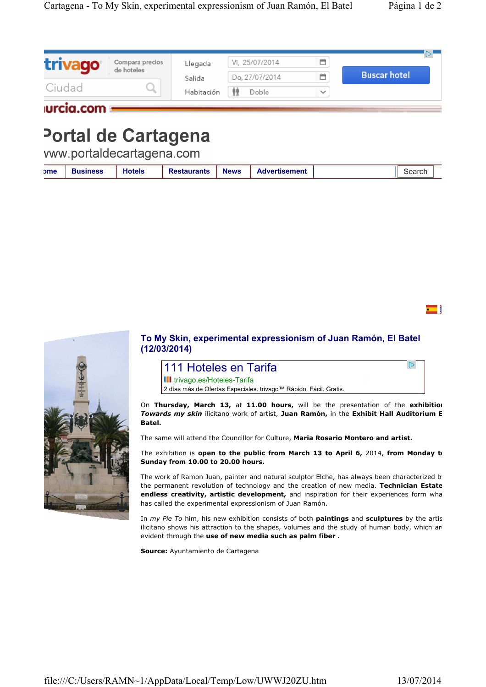| trivago      | Compara precios<br>de hoteles | Llegada              | Vi, 25/07/2014<br>Do, 27/07/2014 | 首<br>首       | <b>Buscar hotel</b> |  |
|--------------|-------------------------------|----------------------|----------------------------------|--------------|---------------------|--|
| Ciudad       |                               | Salida<br>Habitación | Doble                            | $\checkmark$ |                     |  |
| lurcia.com = |                               |                      |                                  |              |                     |  |

## Portal de Cartagena

vww.portaldecartagena.com

| <b>ome</b> | usiness | <b>Hotels</b> | <b>Restaurants</b> | <b>News</b> | <b>Advertisement</b> |  | $\sim$ |
|------------|---------|---------------|--------------------|-------------|----------------------|--|--------|
|------------|---------|---------------|--------------------|-------------|----------------------|--|--------|

 $\blacksquare$ 

 $\overline{\mathbb{D}}$ 



## **To My Skin, experimental expressionism of Juan Ramón, El Batel (12/03/2014)**

111 Hoteles en Tarifa **III** trivago.es/Hoteles-Tarifa

2 días más de Ofertas Especiales. trivago™ Rápido. Fácil. Gratis.

On **Thursday, March 13,** at **11.00 hours,** will be the presentation of the **exhibition**  *Towards my skin* ilicitano work of artist, **Juan Ramón,** in the **Exhibit Hall Auditorium El Batel.**

The same will attend the Councillor for Culture, **Maria Rosario Montero and artist.**

The exhibition is **open to the public from March 13 to April 6,** 2014, **from Monday to Sunday from 10.00 to 20.00 hours.**

The work of Ramon Juan, painter and natural sculptor Elche, has always been characterized b the permanent revolution of technology and the creation of new media. **Technician Estate,**  endless creativity, artistic development, and inspiration for their experiences form wha has called the experimental expressionism of Juan Ramón.

In *my Pie To* him, his new exhibition consists of both **paintings** and sculptures by the artis ilicitano shows his attraction to the shapes, volumes and the study of human body, which an evident through the **use of new media such as palm fiber .**

**Source:** Ayuntamiento de Cartagena